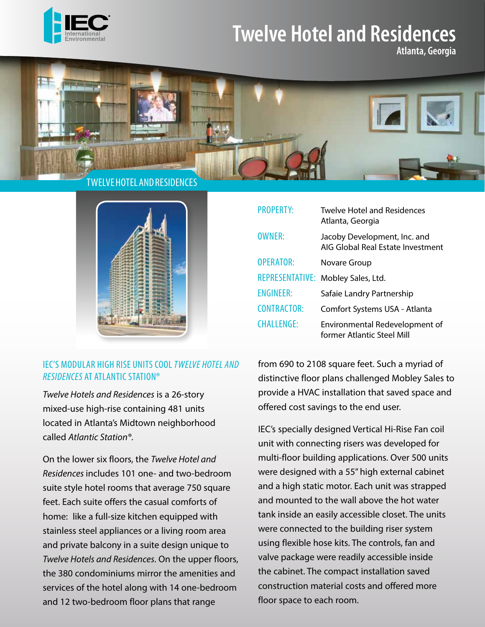

## **Twelve Hotel and Residences**

**Atlanta, Georgia**



TWELVE HOTEL AND RESIDENCES



## IEC'S MODULAR HIGH RISE UNITS COOL *TWELVE HOTEL AND RESIDENCES* AT ATLANTIC STATION®

*Twelve Hotels and Residences* is a 26-story mixed-use high-rise containing 481 units located in Atlanta's Midtown neighborhood called *Atlantic Station®*.

On the lower six floors, the *Twelve Hotel and Residences* includes 101 one- and two-bedroom suite style hotel rooms that average 750 square feet. Each suite offers the casual comforts of home: like a full-size kitchen equipped with stainless steel appliances or a living room area and private balcony in a suite design unique to *Twelve Hotels and Residences*. On the upper floors, the 380 condominiums mirror the amenities and services of the hotel along with 14 one-bedroom and 12 two-bedroom floor plans that range

| <b>PROPERTY:</b>   | <b>Twelve Hotel and Residences</b><br>Atlanta, Georgia            |
|--------------------|-------------------------------------------------------------------|
| <b>OWNER:</b>      | Jacoby Development, Inc. and<br>AIG Global Real Estate Investment |
| <b>OPERATOR:</b>   | Novare Group                                                      |
|                    | REPRESENTATIVE: Mobley Sales, Ltd.                                |
| <b>ENGINEER:</b>   | Safaie Landry Partnership                                         |
| <b>CONTRACTOR:</b> | Comfort Systems USA - Atlanta                                     |
| <b>CHALLENGE:</b>  | Environmental Redevelopment of<br>former Atlantic Steel Mill      |

from 690 to 2108 square feet. Such a myriad of distinctive floor plans challenged Mobley Sales to provide a HVAC installation that saved space and offered cost savings to the end user.

IEC's specially designed Vertical Hi-Rise Fan coil unit with connecting risers was developed for multi-floor building applications. Over 500 units were designed with a 55" high external cabinet and a high static motor. Each unit was strapped and mounted to the wall above the hot water tank inside an easily accessible closet. The units were connected to the building riser system using flexible hose kits. The controls, fan and valve package were readily accessible inside the cabinet. The compact installation saved construction material costs and offered more floor space to each room.